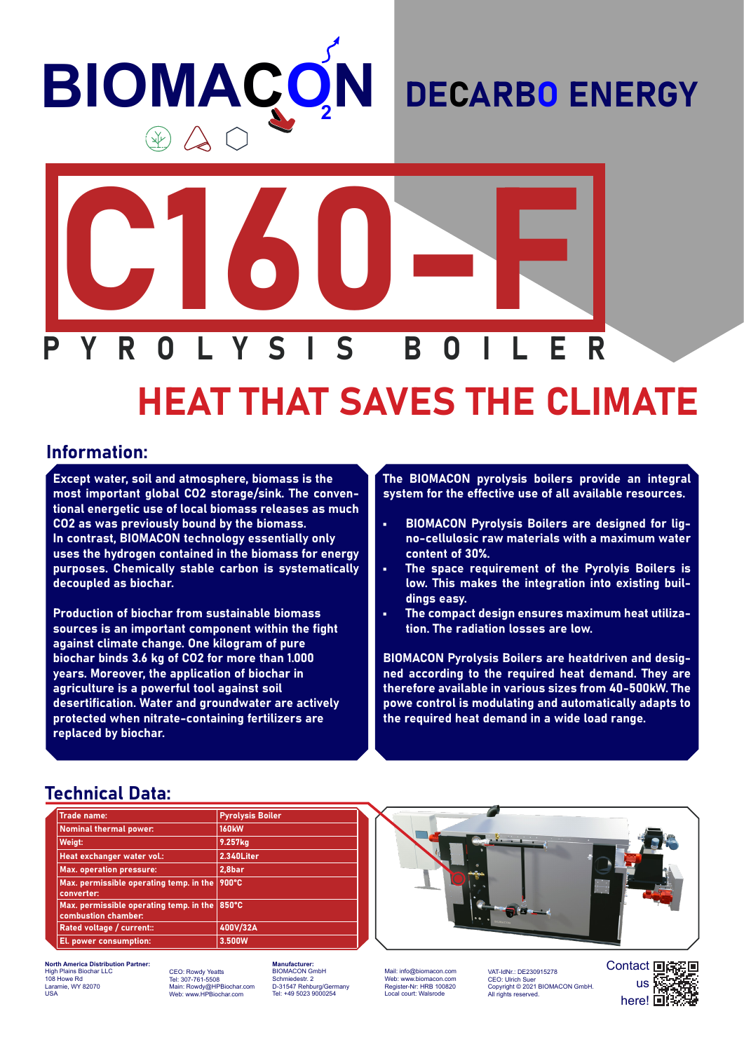# **BIOMAÇC N**

### DECARBO ENERGY



## HEAT THAT SAVES THE CLIMATE

#### Information:

Except water, soil and atmosphere, biomass is the most important global CO2 storage/sink. The conventional energetic use of local biomass releases as much CO2 as was previously bound by the biomass. In contrast, BIOMACON technology essentially only uses the hydrogen contained in the biomass for energy purposes. Chemically stable carbon is systematically decoupled as biochar.

Production of biochar from sustainable biomass sources is an important component within the fight against climate change. One kilogram of pure biochar binds 3.6 kg of CO2 for more than 1.000 years. Moreover, the application of biochar in agriculture is a powerful tool against soil desertification. Water and groundwater are actively protected when nitrate-containing fertilizers are replaced by biochar.

The BIOMACON pyrolysis boilers provide an integral system for the effective use of all available resources.

- BIOMACON Pyrolysis Boilers are designed for ligno-cellulosic raw materials with a maximum water content of 30%.
- The space requirement of the Pyrolyis Boilers is low. This makes the integration into existing buildings easy.
- The compact design ensures maximum heat utilization. The radiation losses are low.

BIOMACON Pyrolysis Boilers are heatdriven and designed according to the required heat demand. They are therefore available in various sizes from 40-500kW. The powe control is modulating and automatically adapts to the required heat demand in a wide load range.

#### Technical Data:

| <b>Trade name:</b>                                             | <b>Pyrolysis Boiler</b> |
|----------------------------------------------------------------|-------------------------|
| <b>Nominal thermal power:</b>                                  | <b>160kW</b>            |
| Weigt:                                                         | 9.257kg                 |
| Heat exchanger water vol.:                                     | 2.340Liter              |
| <b>Max. operation pressure:</b>                                | 2,8bar                  |
| Max. permissible operating temp. in the<br>converter:          | 900°C                   |
| Max. permissible operating temp. in the<br>combustion chamber: | 850°C                   |
| Rated voltage / current::                                      | 400V/32A                |
| El. power consumption:                                         | 3.500W                  |



**North America Distribution Partner:** High Plains Biochar LLC 108 Howe Rd Laramie, WY 82070 USA

CEO: Rowdy Yeatts Tel: 307-761-5508 Main: Rowdy@HPBiochar.com Web: www.HPBiochar.com

**Mufacturer:** BIOMACON GmbH Schmiedestr. 2 D-31547 Rehburg/Germany Tel: +49 5023 9000254

Mail: info@biomacon.com Web: www.biomacon.com Register-Nr: HRB 100820 Local court: Walsrode

VAT-IdNr.: DE230915278<br>CEO: Ulrich Suer CEO: Ulrich Suer Copyright © 2021 BIOMACON GmbH. All rights reserved.